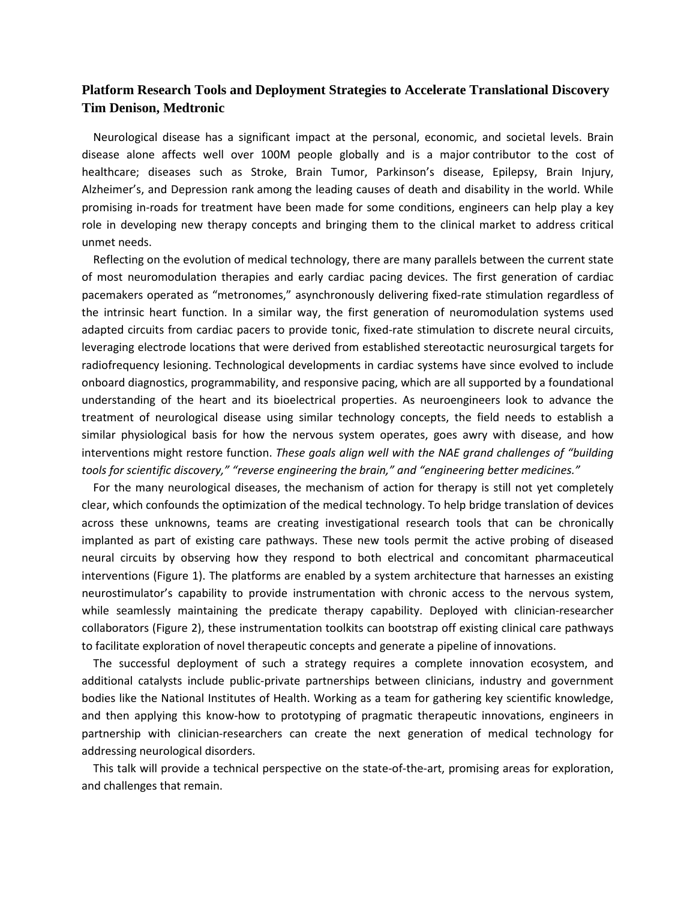## **Platform Research Tools and Deployment Strategies to Accelerate Translational Discovery Tim Denison, Medtronic**

Neurological disease has a significant impact at the personal, economic, and societal levels. Brain disease alone affects well over 100M people globally and is a major contributor to the cost of healthcare; diseases such as Stroke, Brain Tumor, Parkinson's disease, Epilepsy, Brain Injury, Alzheimer's, and Depression rank among the leading causes of death and disability in the world. While promising in-roads for treatment have been made for some conditions, engineers can help play a key role in developing new therapy concepts and bringing them to the clinical market to address critical unmet needs.

Reflecting on the evolution of medical technology, there are many parallels between the current state of most neuromodulation therapies and early cardiac pacing devices. The first generation of cardiac pacemakers operated as "metronomes," asynchronously delivering fixed-rate stimulation regardless of the intrinsic heart function. In a similar way, the first generation of neuromodulation systems used adapted circuits from cardiac pacers to provide tonic, fixed-rate stimulation to discrete neural circuits, leveraging electrode locations that were derived from established stereotactic neurosurgical targets for radiofrequency lesioning. Technological developments in cardiac systems have since evolved to include onboard diagnostics, programmability, and responsive pacing, which are all supported by a foundational understanding of the heart and its bioelectrical properties. As neuroengineers look to advance the treatment of neurological disease using similar technology concepts, the field needs to establish a similar physiological basis for how the nervous system operates, goes awry with disease, and how interventions might restore function. *These goals align well with the NAE grand challenges of "building tools for scientific discovery," "reverse engineering the brain," and "engineering better medicines."*

For the many neurological diseases, the mechanism of action for therapy is still not yet completely clear, which confounds the optimization of the medical technology. To help bridge translation of devices across these unknowns, teams are creating investigational research tools that can be chronically implanted as part of existing care pathways. These new tools permit the active probing of diseased neural circuits by observing how they respond to both electrical and concomitant pharmaceutical interventions (Figure 1). The platforms are enabled by a system architecture that harnesses an existing neurostimulator's capability to provide instrumentation with chronic access to the nervous system, while seamlessly maintaining the predicate therapy capability. Deployed with clinician-researcher collaborators (Figure 2), these instrumentation toolkits can bootstrap off existing clinical care pathways to facilitate exploration of novel therapeutic concepts and generate a pipeline of innovations.

The successful deployment of such a strategy requires a complete innovation ecosystem, and additional catalysts include public-private partnerships between clinicians, industry and government bodies like the National Institutes of Health. Working as a team for gathering key scientific knowledge, and then applying this know-how to prototyping of pragmatic therapeutic innovations, engineers in partnership with clinician-researchers can create the next generation of medical technology for addressing neurological disorders.

This talk will provide a technical perspective on the state-of-the-art, promising areas for exploration, and challenges that remain.